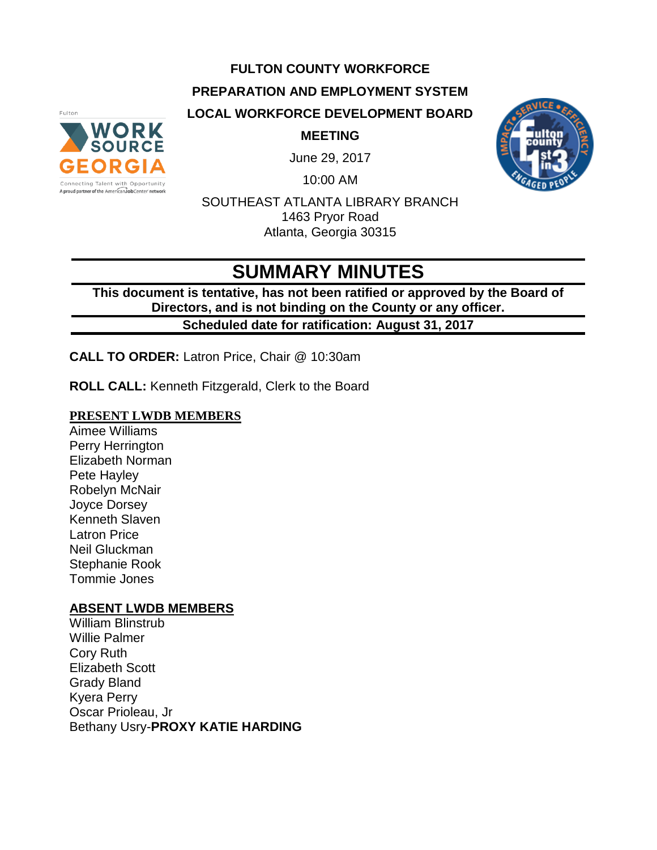#### **FULTON COUNTY WORKFORCE**

**PREPARATION AND EMPLOYMENT SYSTEM**

**LOCAL WORKFORCE DEVELOPMENT BOARD**



**MEETING**

June 29, 2017

10:00 AM



SOUTHEAST ATLANTA LIBRARY BRANCH 1463 Pryor Road Atlanta, Georgia 30315

# **SUMMARY MINUTES**

**This document is tentative, has not been ratified or approved by the Board of Directors, and is not binding on the County or any officer. Scheduled date for ratification: August 31, 2017** 

**CALL TO ORDER:** Latron Price, Chair @ 10:30am

**ROLL CALL:** Kenneth Fitzgerald, Clerk to the Board

#### **PRESENT LWDB MEMBERS**

Aimee Williams Perry Herrington Elizabeth Norman Pete Hayley Robelyn McNair Joyce Dorsey Kenneth Slaven Latron Price Neil Gluckman Stephanie Rook Tommie Jones

#### **ABSENT LWDB MEMBERS**

William Blinstrub Willie Palmer Cory Ruth Elizabeth Scott Grady Bland Kyera Perry Oscar Prioleau, Jr Bethany Usry-**PROXY KATIE HARDING**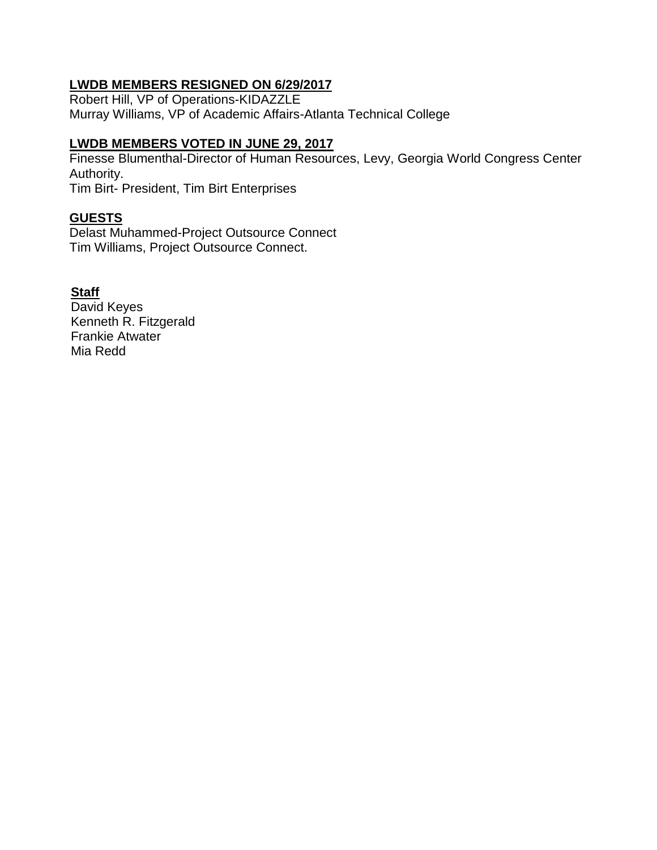# **LWDB MEMBERS RESIGNED ON 6/29/2017**

Robert Hill, VP of Operations-KIDAZZLE Murray Williams, VP of Academic Affairs-Atlanta Technical College

#### **LWDB MEMBERS VOTED IN JUNE 29, 2017**

Finesse Blumenthal-Director of Human Resources, Levy, Georgia World Congress Center Authority. Tim Birt- President, Tim Birt Enterprises

#### **GUESTS**

Delast Muhammed-Project Outsource Connect Tim Williams, Project Outsource Connect.

## **Staff**

David Keyes Kenneth R. Fitzgerald Frankie Atwater Mia Redd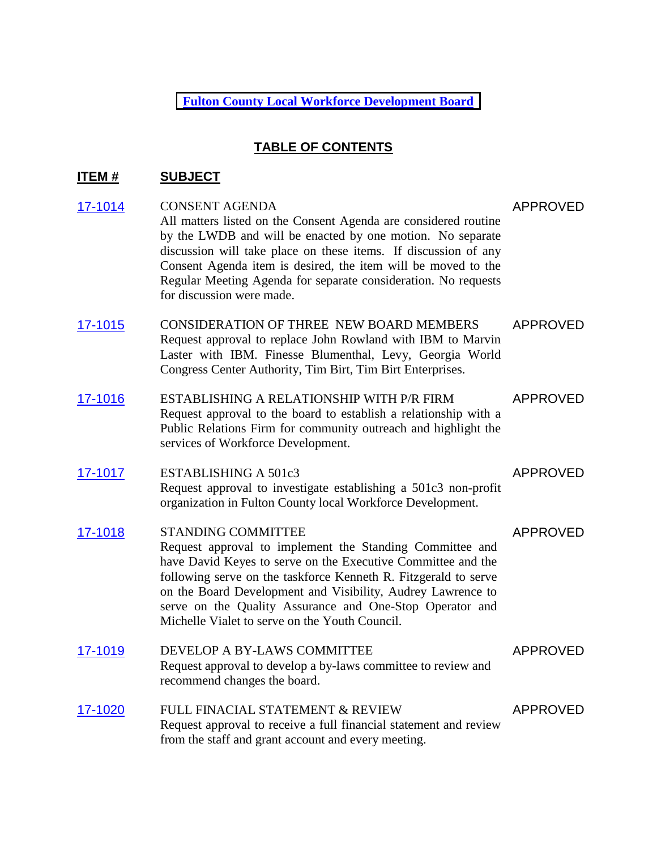**[Fulton](http://agendaminutes.fultoncountyga.gov/sirepub/agdocs.aspx?doctype=minutes&itemid=30105) County Local Workforce Development Board**

#### **TABLE OF CONTENTS**

### **ITEM # SUBJECT**

| 17-1014 | <b>CONSENT AGENDA</b><br>All matters listed on the Consent Agenda are considered routine<br>by the LWDB and will be enacted by one motion. No separate<br>discussion will take place on these items. If discussion of any<br>Consent Agenda item is desired, the item will be moved to the<br>Regular Meeting Agenda for separate consideration. No requests<br>for discussion were made.             | <b>APPROVED</b> |
|---------|-------------------------------------------------------------------------------------------------------------------------------------------------------------------------------------------------------------------------------------------------------------------------------------------------------------------------------------------------------------------------------------------------------|-----------------|
| 17-1015 | <b>CONSIDERATION OF THREE NEW BOARD MEMBERS</b><br>Request approval to replace John Rowland with IBM to Marvin<br>Laster with IBM. Finesse Blumenthal, Levy, Georgia World<br>Congress Center Authority, Tim Birt, Tim Birt Enterprises.                                                                                                                                                              | <b>APPROVED</b> |
| 17-1016 | ESTABLISHING A RELATIONSHIP WITH P/R FIRM<br>Request approval to the board to establish a relationship with a<br>Public Relations Firm for community outreach and highlight the<br>services of Workforce Development.                                                                                                                                                                                 | <b>APPROVED</b> |
| 17-1017 | <b>ESTABLISHING A 501c3</b><br>Request approval to investigate establishing a 501c3 non-profit<br>organization in Fulton County local Workforce Development.                                                                                                                                                                                                                                          | <b>APPROVED</b> |
| 17-1018 | <b>STANDING COMMITTEE</b><br>Request approval to implement the Standing Committee and<br>have David Keyes to serve on the Executive Committee and the<br>following serve on the taskforce Kenneth R. Fitzgerald to serve<br>on the Board Development and Visibility, Audrey Lawrence to<br>serve on the Quality Assurance and One-Stop Operator and<br>Michelle Vialet to serve on the Youth Council. | <b>APPROVED</b> |
| 17-1019 | DEVELOP A BY-LAWS COMMITTEE<br>Request approval to develop a by-laws committee to review and<br>recommend changes the board.                                                                                                                                                                                                                                                                          | <b>APPROVED</b> |
| 17-1020 | FULL FINACIAL STATEMENT & REVIEW<br>Request approval to receive a full financial statement and review<br>from the staff and grant account and every meeting.                                                                                                                                                                                                                                          | <b>APPROVED</b> |
|         |                                                                                                                                                                                                                                                                                                                                                                                                       |                 |